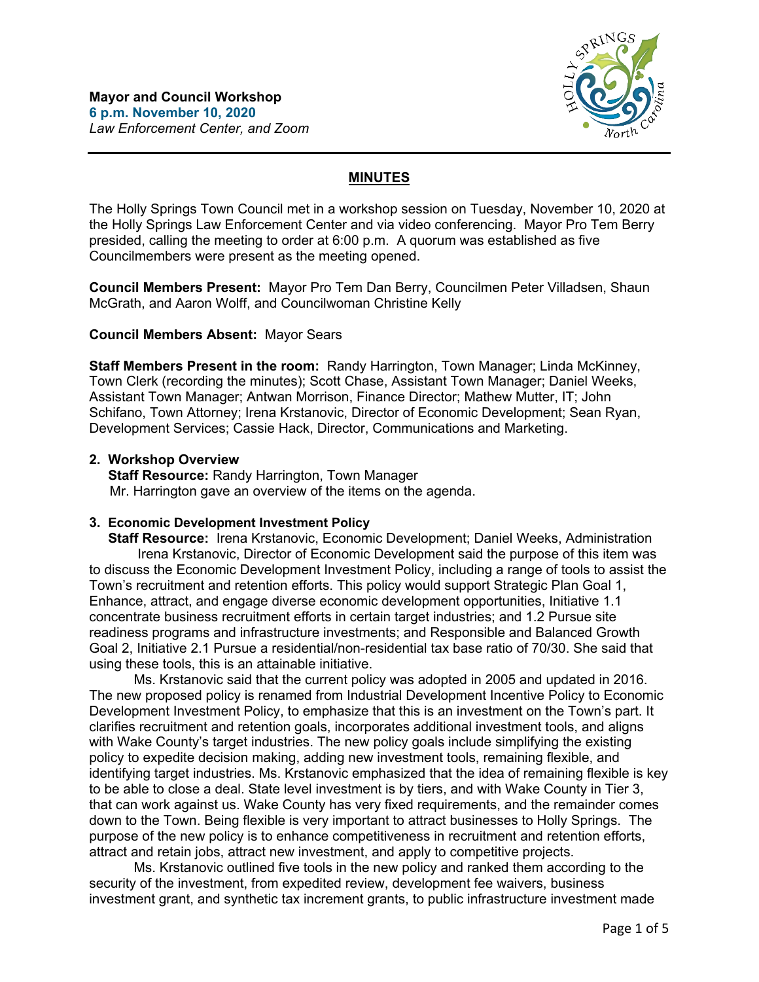

# **MINUTES**

The Holly Springs Town Council met in a workshop session on Tuesday, November 10, 2020 at the Holly Springs Law Enforcement Center and via video conferencing. Mayor Pro Tem Berry presided, calling the meeting to order at 6:00 p.m. A quorum was established as five Councilmembers were present as the meeting opened.

**Council Members Present:** Mayor Pro Tem Dan Berry, Councilmen Peter Villadsen, Shaun McGrath, and Aaron Wolff, and Councilwoman Christine Kelly

## **Council Members Absent:** Mayor Sears

**Staff Members Present in the room:** Randy Harrington, Town Manager; Linda McKinney, Town Clerk (recording the minutes); Scott Chase, Assistant Town Manager; Daniel Weeks, Assistant Town Manager; Antwan Morrison, Finance Director; Mathew Mutter, IT; John Schifano, Town Attorney; Irena Krstanovic, Director of Economic Development; Sean Ryan, Development Services; Cassie Hack, Director, Communications and Marketing.

## **2. Workshop Overview**

 **Staff Resource:** Randy Harrington, Town Manager Mr. Harrington gave an overview of the items on the agenda.

## **3. Economic Development Investment Policy**

 **Staff Resource:** Irena Krstanovic, Economic Development; Daniel Weeks, Administration Irena Krstanovic, Director of Economic Development said the purpose of this item was to discuss the Economic Development Investment Policy, including a range of tools to assist the Town's recruitment and retention efforts. This policy would support Strategic Plan Goal 1, Enhance, attract, and engage diverse economic development opportunities, Initiative 1.1 concentrate business recruitment efforts in certain target industries; and 1.2 Pursue site readiness programs and infrastructure investments; and Responsible and Balanced Growth Goal 2, Initiative 2.1 Pursue a residential/non-residential tax base ratio of 70/30. She said that using these tools, this is an attainable initiative.

Ms. Krstanovic said that the current policy was adopted in 2005 and updated in 2016. The new proposed policy is renamed from Industrial Development Incentive Policy to Economic Development Investment Policy, to emphasize that this is an investment on the Town's part. It clarifies recruitment and retention goals, incorporates additional investment tools, and aligns with Wake County's target industries. The new policy goals include simplifying the existing policy to expedite decision making, adding new investment tools, remaining flexible, and identifying target industries. Ms. Krstanovic emphasized that the idea of remaining flexible is key to be able to close a deal. State level investment is by tiers, and with Wake County in Tier 3, that can work against us. Wake County has very fixed requirements, and the remainder comes down to the Town. Being flexible is very important to attract businesses to Holly Springs. The purpose of the new policy is to enhance competitiveness in recruitment and retention efforts, attract and retain jobs, attract new investment, and apply to competitive projects.

Ms. Krstanovic outlined five tools in the new policy and ranked them according to the security of the investment, from expedited review, development fee waivers, business investment grant, and synthetic tax increment grants, to public infrastructure investment made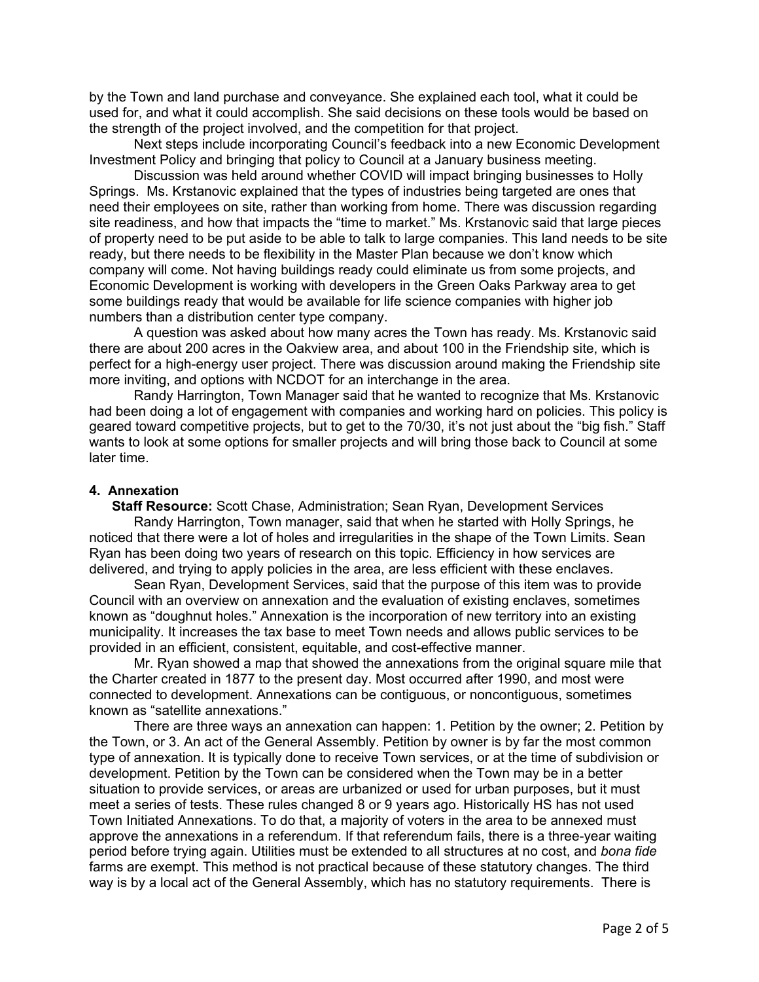by the Town and land purchase and conveyance. She explained each tool, what it could be used for, and what it could accomplish. She said decisions on these tools would be based on the strength of the project involved, and the competition for that project.

Next steps include incorporating Council's feedback into a new Economic Development Investment Policy and bringing that policy to Council at a January business meeting.

Discussion was held around whether COVID will impact bringing businesses to Holly Springs. Ms. Krstanovic explained that the types of industries being targeted are ones that need their employees on site, rather than working from home. There was discussion regarding site readiness, and how that impacts the "time to market." Ms. Krstanovic said that large pieces of property need to be put aside to be able to talk to large companies. This land needs to be site ready, but there needs to be flexibility in the Master Plan because we don't know which company will come. Not having buildings ready could eliminate us from some projects, and Economic Development is working with developers in the Green Oaks Parkway area to get some buildings ready that would be available for life science companies with higher job numbers than a distribution center type company.

A question was asked about how many acres the Town has ready. Ms. Krstanovic said there are about 200 acres in the Oakview area, and about 100 in the Friendship site, which is perfect for a high-energy user project. There was discussion around making the Friendship site more inviting, and options with NCDOT for an interchange in the area.

Randy Harrington, Town Manager said that he wanted to recognize that Ms. Krstanovic had been doing a lot of engagement with companies and working hard on policies. This policy is geared toward competitive projects, but to get to the 70/30, it's not just about the "big fish." Staff wants to look at some options for smaller projects and will bring those back to Council at some later time.

## **4. Annexation**

 **Staff Resource:** Scott Chase, Administration; Sean Ryan, Development Services

 Randy Harrington, Town manager, said that when he started with Holly Springs, he noticed that there were a lot of holes and irregularities in the shape of the Town Limits. Sean Ryan has been doing two years of research on this topic. Efficiency in how services are delivered, and trying to apply policies in the area, are less efficient with these enclaves.

Sean Ryan, Development Services, said that the purpose of this item was to provide Council with an overview on annexation and the evaluation of existing enclaves, sometimes known as "doughnut holes." Annexation is the incorporation of new territory into an existing municipality. It increases the tax base to meet Town needs and allows public services to be provided in an efficient, consistent, equitable, and cost-effective manner.

Mr. Ryan showed a map that showed the annexations from the original square mile that the Charter created in 1877 to the present day. Most occurred after 1990, and most were connected to development. Annexations can be contiguous, or noncontiguous, sometimes known as "satellite annexations."

There are three ways an annexation can happen: 1. Petition by the owner; 2. Petition by the Town, or 3. An act of the General Assembly. Petition by owner is by far the most common type of annexation. It is typically done to receive Town services, or at the time of subdivision or development. Petition by the Town can be considered when the Town may be in a better situation to provide services, or areas are urbanized or used for urban purposes, but it must meet a series of tests. These rules changed 8 or 9 years ago. Historically HS has not used Town Initiated Annexations. To do that, a majority of voters in the area to be annexed must approve the annexations in a referendum. If that referendum fails, there is a three-year waiting period before trying again. Utilities must be extended to all structures at no cost, and *bona fide* farms are exempt. This method is not practical because of these statutory changes. The third way is by a local act of the General Assembly, which has no statutory requirements. There is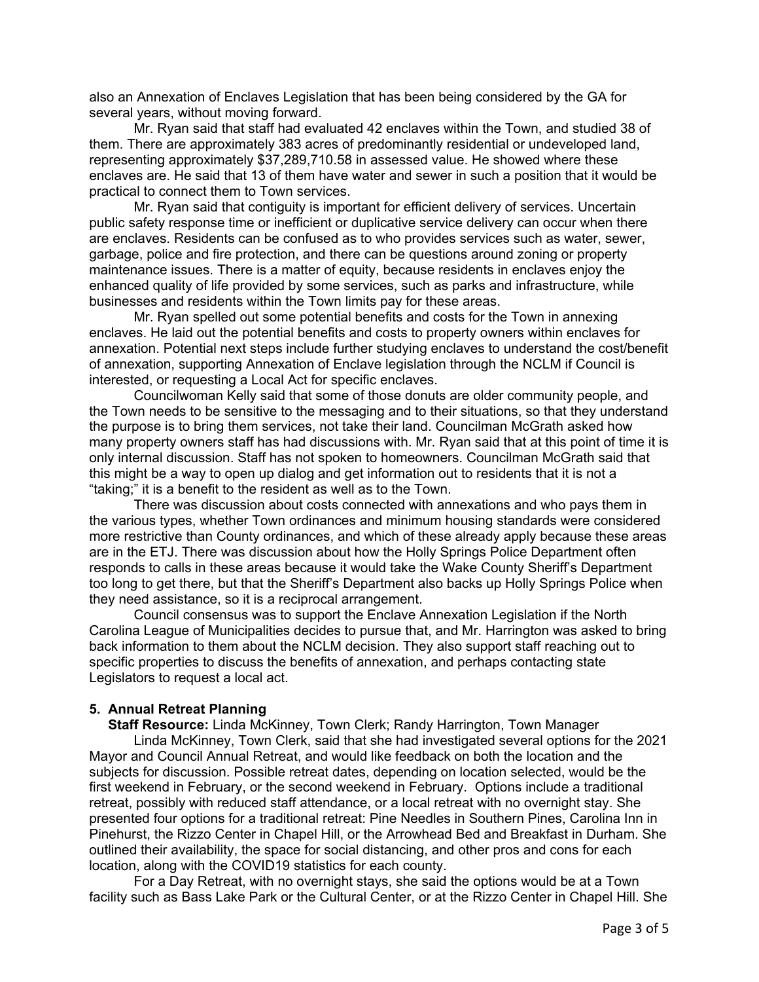also an Annexation of Enclaves Legislation that has been being considered by the GA for several years, without moving forward.

Mr. Ryan said that staff had evaluated 42 enclaves within the Town, and studied 38 of them. There are approximately 383 acres of predominantly residential or undeveloped land, representing approximately \$37,289,710.58 in assessed value. He showed where these enclaves are. He said that 13 of them have water and sewer in such a position that it would be practical to connect them to Town services.

Mr. Ryan said that contiguity is important for efficient delivery of services. Uncertain public safety response time or inefficient or duplicative service delivery can occur when there are enclaves. Residents can be confused as to who provides services such as water, sewer, garbage, police and fire protection, and there can be questions around zoning or property maintenance issues. There is a matter of equity, because residents in enclaves enjoy the enhanced quality of life provided by some services, such as parks and infrastructure, while businesses and residents within the Town limits pay for these areas.

Mr. Ryan spelled out some potential benefits and costs for the Town in annexing enclaves. He laid out the potential benefits and costs to property owners within enclaves for annexation. Potential next steps include further studying enclaves to understand the cost/benefit of annexation, supporting Annexation of Enclave legislation through the NCLM if Council is interested, or requesting a Local Act for specific enclaves.

Councilwoman Kelly said that some of those donuts are older community people, and the Town needs to be sensitive to the messaging and to their situations, so that they understand the purpose is to bring them services, not take their land. Councilman McGrath asked how many property owners staff has had discussions with. Mr. Ryan said that at this point of time it is only internal discussion. Staff has not spoken to homeowners. Councilman McGrath said that this might be a way to open up dialog and get information out to residents that it is not a "taking;" it is a benefit to the resident as well as to the Town.

There was discussion about costs connected with annexations and who pays them in the various types, whether Town ordinances and minimum housing standards were considered more restrictive than County ordinances, and which of these already apply because these areas are in the ETJ. There was discussion about how the Holly Springs Police Department often responds to calls in these areas because it would take the Wake County Sheriff's Department too long to get there, but that the Sheriff's Department also backs up Holly Springs Police when they need assistance, so it is a reciprocal arrangement.

Council consensus was to support the Enclave Annexation Legislation if the North Carolina League of Municipalities decides to pursue that, and Mr. Harrington was asked to bring back information to them about the NCLM decision. They also support staff reaching out to specific properties to discuss the benefits of annexation, and perhaps contacting state Legislators to request a local act.

# **5. Annual Retreat Planning**

 **Staff Resource:** Linda McKinney, Town Clerk; Randy Harrington, Town Manager Linda McKinney, Town Clerk, said that she had investigated several options for the 2021 Mayor and Council Annual Retreat, and would like feedback on both the location and the subjects for discussion. Possible retreat dates, depending on location selected, would be the first weekend in February, or the second weekend in February. Options include a traditional retreat, possibly with reduced staff attendance, or a local retreat with no overnight stay. She presented four options for a traditional retreat: Pine Needles in Southern Pines, Carolina Inn in Pinehurst, the Rizzo Center in Chapel Hill, or the Arrowhead Bed and Breakfast in Durham. She outlined their availability, the space for social distancing, and other pros and cons for each location, along with the COVID19 statistics for each county.

For a Day Retreat, with no overnight stays, she said the options would be at a Town facility such as Bass Lake Park or the Cultural Center, or at the Rizzo Center in Chapel Hill. She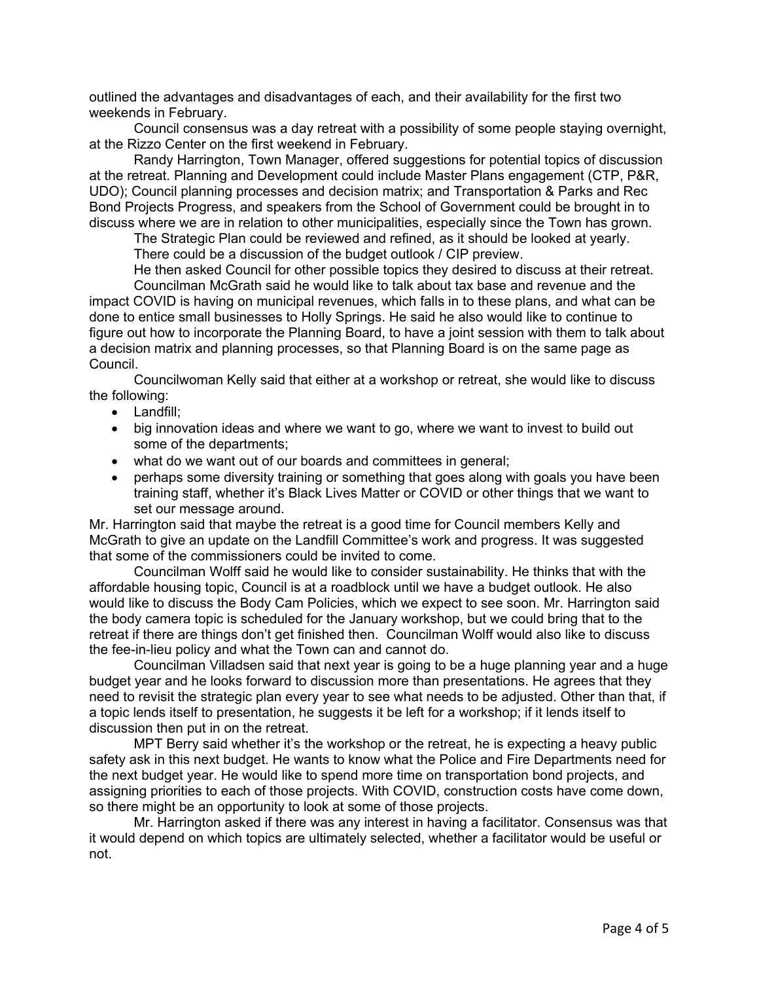outlined the advantages and disadvantages of each, and their availability for the first two weekends in February.

Council consensus was a day retreat with a possibility of some people staying overnight, at the Rizzo Center on the first weekend in February.

Randy Harrington, Town Manager, offered suggestions for potential topics of discussion at the retreat. Planning and Development could include Master Plans engagement (CTP, P&R, UDO); Council planning processes and decision matrix; and Transportation & Parks and Rec Bond Projects Progress, and speakers from the School of Government could be brought in to discuss where we are in relation to other municipalities, especially since the Town has grown.

The Strategic Plan could be reviewed and refined, as it should be looked at yearly. There could be a discussion of the budget outlook / CIP preview.

He then asked Council for other possible topics they desired to discuss at their retreat.

Councilman McGrath said he would like to talk about tax base and revenue and the impact COVID is having on municipal revenues, which falls in to these plans, and what can be done to entice small businesses to Holly Springs. He said he also would like to continue to figure out how to incorporate the Planning Board, to have a joint session with them to talk about a decision matrix and planning processes, so that Planning Board is on the same page as Council.

Councilwoman Kelly said that either at a workshop or retreat, she would like to discuss the following:

- Landfill;
- big innovation ideas and where we want to go, where we want to invest to build out some of the departments;
- what do we want out of our boards and committees in general;
- perhaps some diversity training or something that goes along with goals you have been training staff, whether it's Black Lives Matter or COVID or other things that we want to set our message around.

Mr. Harrington said that maybe the retreat is a good time for Council members Kelly and McGrath to give an update on the Landfill Committee's work and progress. It was suggested that some of the commissioners could be invited to come.

Councilman Wolff said he would like to consider sustainability. He thinks that with the affordable housing topic, Council is at a roadblock until we have a budget outlook. He also would like to discuss the Body Cam Policies, which we expect to see soon. Mr. Harrington said the body camera topic is scheduled for the January workshop, but we could bring that to the retreat if there are things don't get finished then. Councilman Wolff would also like to discuss the fee-in-lieu policy and what the Town can and cannot do.

Councilman Villadsen said that next year is going to be a huge planning year and a huge budget year and he looks forward to discussion more than presentations. He agrees that they need to revisit the strategic plan every year to see what needs to be adjusted. Other than that, if a topic lends itself to presentation, he suggests it be left for a workshop; if it lends itself to discussion then put in on the retreat.

MPT Berry said whether it's the workshop or the retreat, he is expecting a heavy public safety ask in this next budget. He wants to know what the Police and Fire Departments need for the next budget year. He would like to spend more time on transportation bond projects, and assigning priorities to each of those projects. With COVID, construction costs have come down, so there might be an opportunity to look at some of those projects.

Mr. Harrington asked if there was any interest in having a facilitator. Consensus was that it would depend on which topics are ultimately selected, whether a facilitator would be useful or not.